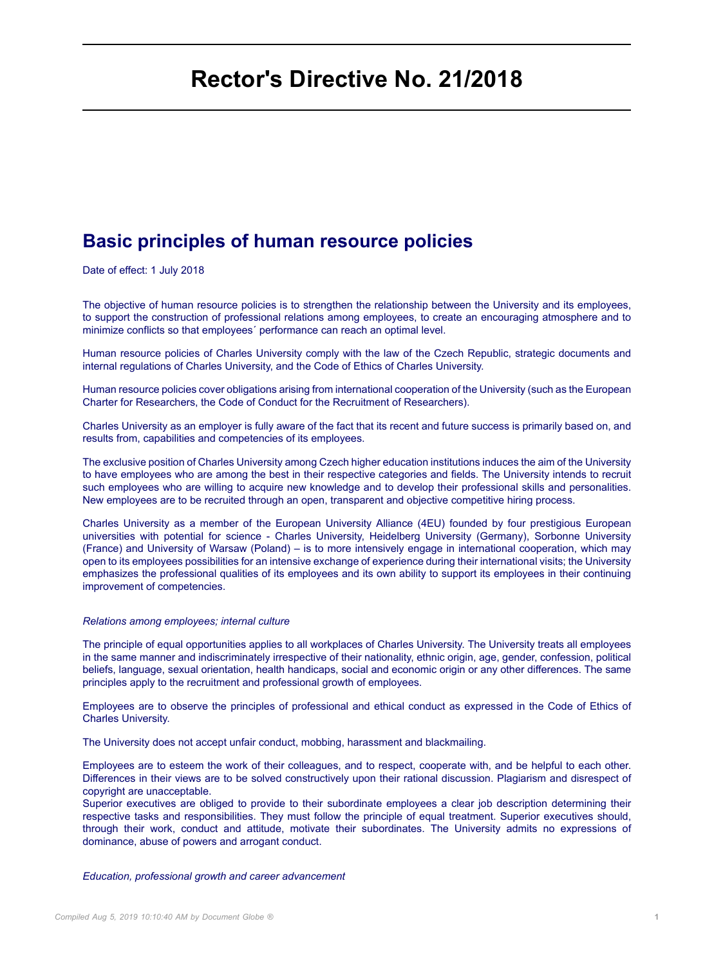# **Rector's Directive No. 21/2018**

# **Basic principles of human resource policies**

Date of effect: 1 July 2018

The objective of human resource policies is to strengthen the relationship between the University and its employees, to support the construction of professional relations among employees, to create an encouraging atmosphere and to minimize conflicts so that employees´ performance can reach an optimal level.

Human resource policies of Charles University comply with the law of the Czech Republic, strategic documents and internal regulations of Charles University, and the Code of Ethics of Charles University.

Human resource policies cover obligations arising from international cooperation of the University (such as the European Charter for Researchers, the Code of Conduct for the Recruitment of Researchers).

Charles University as an employer is fully aware of the fact that its recent and future success is primarily based on, and results from, capabilities and competencies of its employees.

The exclusive position of Charles University among Czech higher education institutions induces the aim of the University to have employees who are among the best in their respective categories and fields. The University intends to recruit such employees who are willing to acquire new knowledge and to develop their professional skills and personalities. New employees are to be recruited through an open, transparent and objective competitive hiring process.

Charles University as a member of the European University Alliance (4EU) founded by four prestigious European universities with potential for science - Charles University, Heidelberg University (Germany), Sorbonne University (France) and University of Warsaw (Poland) – is to more intensively engage in international cooperation, which may open to its employees possibilities for an intensive exchange of experience during their international visits; the University emphasizes the professional qualities of its employees and its own ability to support its employees in their continuing improvement of competencies.

#### *Relations among employees; internal culture*

The principle of equal opportunities applies to all workplaces of Charles University. The University treats all employees in the same manner and indiscriminately irrespective of their nationality, ethnic origin, age, gender, confession, political beliefs, language, sexual orientation, health handicaps, social and economic origin or any other differences. The same principles apply to the recruitment and professional growth of employees.

Employees are to observe the principles of professional and ethical conduct as expressed in the Code of Ethics of Charles University.

The University does not accept unfair conduct, mobbing, harassment and blackmailing.

Employees are to esteem the work of their colleagues, and to respect, cooperate with, and be helpful to each other. Differences in their views are to be solved constructively upon their rational discussion. Plagiarism and disrespect of copyright are unacceptable.

Superior executives are obliged to provide to their subordinate employees a clear job description determining their respective tasks and responsibilities. They must follow the principle of equal treatment. Superior executives should, through their work, conduct and attitude, motivate their subordinates. The University admits no expressions of dominance, abuse of powers and arrogant conduct.

#### *Education, professional growth and career advancement*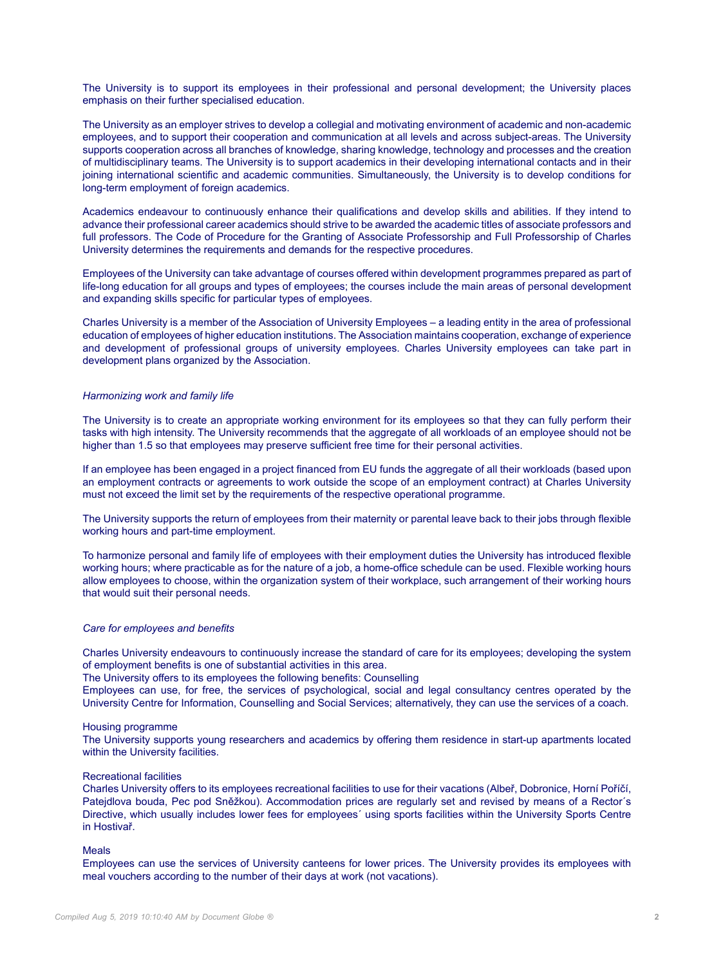The University is to support its employees in their professional and personal development; the University places emphasis on their further specialised education.

The University as an employer strives to develop a collegial and motivating environment of academic and non-academic employees, and to support their cooperation and communication at all levels and across subject-areas. The University supports cooperation across all branches of knowledge, sharing knowledge, technology and processes and the creation of multidisciplinary teams. The University is to support academics in their developing international contacts and in their joining international scientific and academic communities. Simultaneously, the University is to develop conditions for long-term employment of foreign academics.

Academics endeavour to continuously enhance their qualifications and develop skills and abilities. If they intend to advance their professional career academics should strive to be awarded the academic titles of associate professors and full professors. The Code of Procedure for the Granting of Associate Professorship and Full Professorship of Charles University determines the requirements and demands for the respective procedures.

Employees of the University can take advantage of courses offered within development programmes prepared as part of life-long education for all groups and types of employees; the courses include the main areas of personal development and expanding skills specific for particular types of employees.

Charles University is a member of the Association of University Employees – a leading entity in the area of professional education of employees of higher education institutions. The Association maintains cooperation, exchange of experience and development of professional groups of university employees. Charles University employees can take part in development plans organized by the Association.

#### *Harmonizing work and family life*

The University is to create an appropriate working environment for its employees so that they can fully perform their tasks with high intensity. The University recommends that the aggregate of all workloads of an employee should not be higher than 1.5 so that employees may preserve sufficient free time for their personal activities.

If an employee has been engaged in a project financed from EU funds the aggregate of all their workloads (based upon an employment contracts or agreements to work outside the scope of an employment contract) at Charles University must not exceed the limit set by the requirements of the respective operational programme.

The University supports the return of employees from their maternity or parental leave back to their jobs through flexible working hours and part-time employment.

To harmonize personal and family life of employees with their employment duties the University has introduced flexible working hours; where practicable as for the nature of a job, a home-office schedule can be used. Flexible working hours allow employees to choose, within the organization system of their workplace, such arrangement of their working hours that would suit their personal needs.

#### *Care for employees and benefits*

Charles University endeavours to continuously increase the standard of care for its employees; developing the system of employment benefits is one of substantial activities in this area.

The University offers to its employees the following benefits: Counselling

Employees can use, for free, the services of psychological, social and legal consultancy centres operated by the University Centre for Information, Counselling and Social Services; alternatively, they can use the services of a coach.

#### Housing programme

The University supports young researchers and academics by offering them residence in start-up apartments located within the University facilities.

#### Recreational facilities

Charles University offers to its employees recreational facilities to use for their vacations (Albeř, Dobronice, Horní Poříčí, Patejdlova bouda, Pec pod Sněžkou). Accommodation prices are regularly set and revised by means of a Rector´s Directive, which usually includes lower fees for employees´ using sports facilities within the University Sports Centre in Hostivař.

# Meals

Employees can use the services of University canteens for lower prices. The University provides its employees with meal vouchers according to the number of their days at work (not vacations).